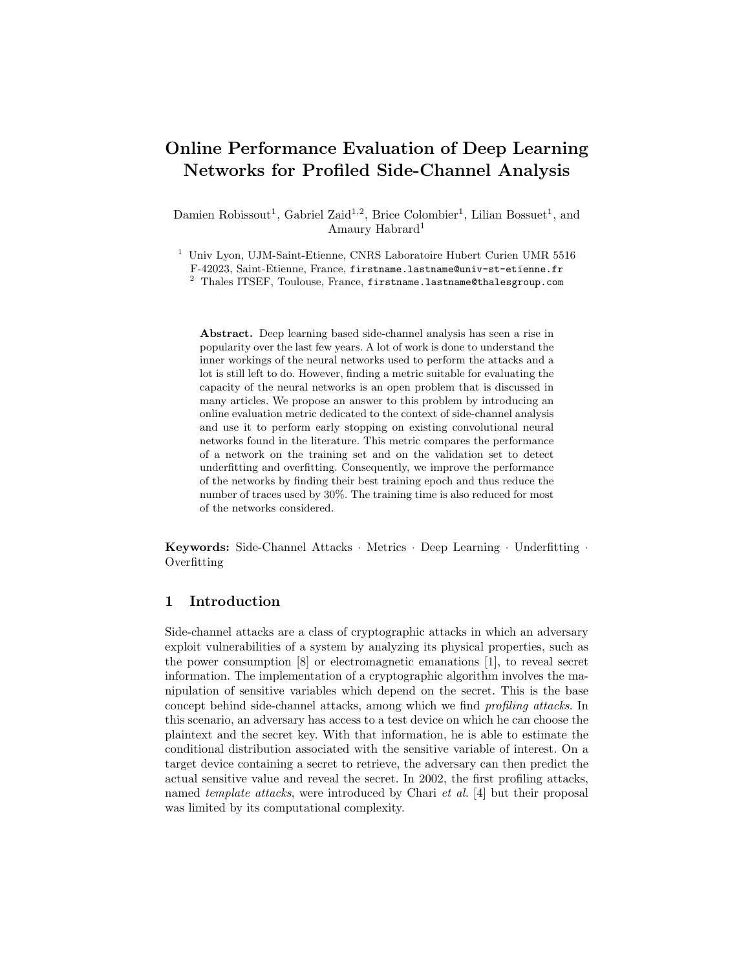# Online Performance Evaluation of Deep Learning Networks for Profiled Side-Channel Analysis

Damien Robissout<sup>1</sup>, Gabriel Zaid<sup>1,2</sup>, Brice Colombier<sup>1</sup>, Lilian Bossuet<sup>1</sup>, and Amaury Habrard<sup>1</sup>

<sup>1</sup> Univ Lyon, UJM-Saint-Etienne, CNRS Laboratoire Hubert Curien UMR 5516 F-42023, Saint-Etienne, France, firstname.lastname@univ-st-etienne.fr

 $2$  Thales ITSEF, Toulouse, France, firstname.lastname@thalesgroup.com

Abstract. Deep learning based side-channel analysis has seen a rise in popularity over the last few years. A lot of work is done to understand the inner workings of the neural networks used to perform the attacks and a lot is still left to do. However, finding a metric suitable for evaluating the capacity of the neural networks is an open problem that is discussed in many articles. We propose an answer to this problem by introducing an online evaluation metric dedicated to the context of side-channel analysis and use it to perform early stopping on existing convolutional neural networks found in the literature. This metric compares the performance of a network on the training set and on the validation set to detect underfitting and overfitting. Consequently, we improve the performance of the networks by finding their best training epoch and thus reduce the number of traces used by 30%. The training time is also reduced for most of the networks considered.

Keywords: Side-Channel Attacks · Metrics · Deep Learning · Underfitting · **Overfitting** 

## 1 Introduction

Side-channel attacks are a class of cryptographic attacks in which an adversary exploit vulnerabilities of a system by analyzing its physical properties, such as the power consumption [\[8\]](#page-16-0) or electromagnetic emanations [\[1\]](#page-15-0), to reveal secret information. The implementation of a cryptographic algorithm involves the manipulation of sensitive variables which depend on the secret. This is the base concept behind side-channel attacks, among which we find profiling attacks. In this scenario, an adversary has access to a test device on which he can choose the plaintext and the secret key. With that information, he is able to estimate the conditional distribution associated with the sensitive variable of interest. On a target device containing a secret to retrieve, the adversary can then predict the actual sensitive value and reveal the secret. In 2002, the first profiling attacks, named template attacks, were introduced by Chari et al. [\[4\]](#page-15-1) but their proposal was limited by its computational complexity.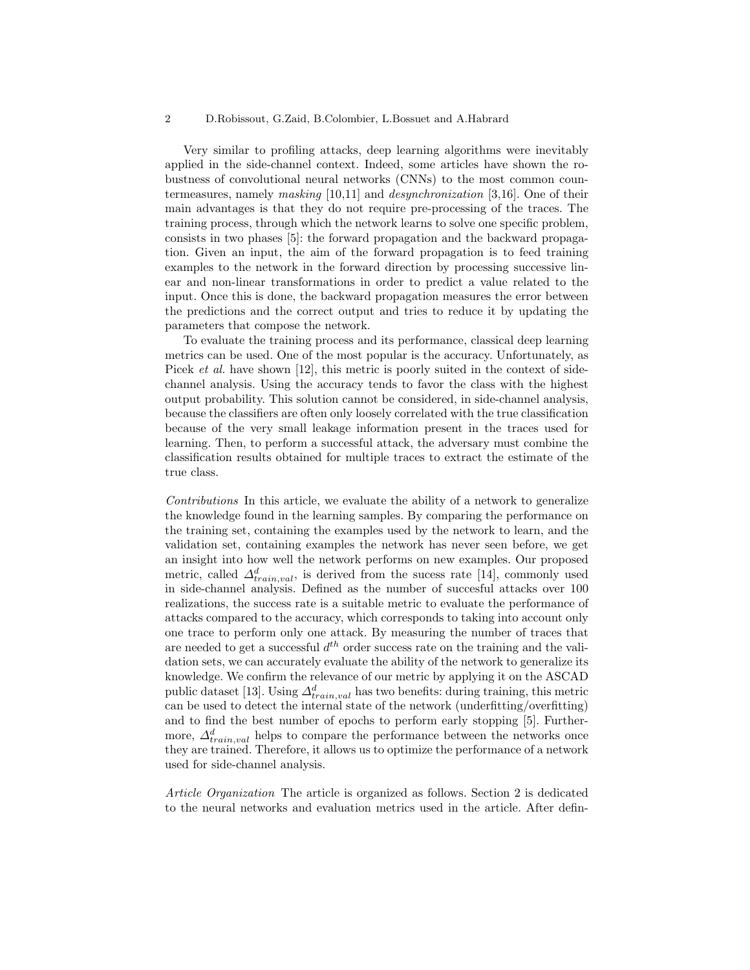#### 2 D.Robissout, G.Zaid, B.Colombier, L.Bossuet and A.Habrard

Very similar to profiling attacks, deep learning algorithms were inevitably applied in the side-channel context. Indeed, some articles have shown the robustness of convolutional neural networks (CNNs) to the most common countermeasures, namely masking [\[10,](#page-16-1)[11\]](#page-16-2) and desynchronization [\[3](#page-15-2)[,16\]](#page-16-3). One of their main advantages is that they do not require pre-processing of the traces. The training process, through which the network learns to solve one specific problem, consists in two phases [\[5\]](#page-15-3): the forward propagation and the backward propagation. Given an input, the aim of the forward propagation is to feed training examples to the network in the forward direction by processing successive linear and non-linear transformations in order to predict a value related to the input. Once this is done, the backward propagation measures the error between the predictions and the correct output and tries to reduce it by updating the parameters that compose the network.

To evaluate the training process and its performance, classical deep learning metrics can be used. One of the most popular is the accuracy. Unfortunately, as Picek *et al.* have shown [\[12\]](#page-16-4), this metric is poorly suited in the context of sidechannel analysis. Using the accuracy tends to favor the class with the highest output probability. This solution cannot be considered, in side-channel analysis, because the classifiers are often only loosely correlated with the true classification because of the very small leakage information present in the traces used for learning. Then, to perform a successful attack, the adversary must combine the classification results obtained for multiple traces to extract the estimate of the true class.

Contributions In this article, we evaluate the ability of a network to generalize the knowledge found in the learning samples. By comparing the performance on the training set, containing the examples used by the network to learn, and the validation set, containing examples the network has never seen before, we get an insight into how well the network performs on new examples. Our proposed metric, called  $\Delta_{train, val}^d$ , is derived from the sucess rate [\[14\]](#page-16-5), commonly used in side-channel analysis. Defined as the number of succesful attacks over 100 realizations, the success rate is a suitable metric to evaluate the performance of attacks compared to the accuracy, which corresponds to taking into account only one trace to perform only one attack. By measuring the number of traces that are needed to get a successful  $d^{th}$  order success rate on the training and the validation sets, we can accurately evaluate the ability of the network to generalize its knowledge. We confirm the relevance of our metric by applying it on the ASCAD public dataset [\[13\]](#page-16-6). Using  $\Delta_{train,val}^d$  has two benefits: during training, this metric can be used to detect the internal state of the network (underfitting/overfitting) and to find the best number of epochs to perform early stopping [\[5\]](#page-15-3). Furthermore,  $\Delta_{train,val}^d$  helps to compare the performance between the networks once they are trained. Therefore, it allows us to optimize the performance of a network used for side-channel analysis.

Article Organization The article is organized as follows. Section [2](#page-2-0) is dedicated to the neural networks and evaluation metrics used in the article. After defin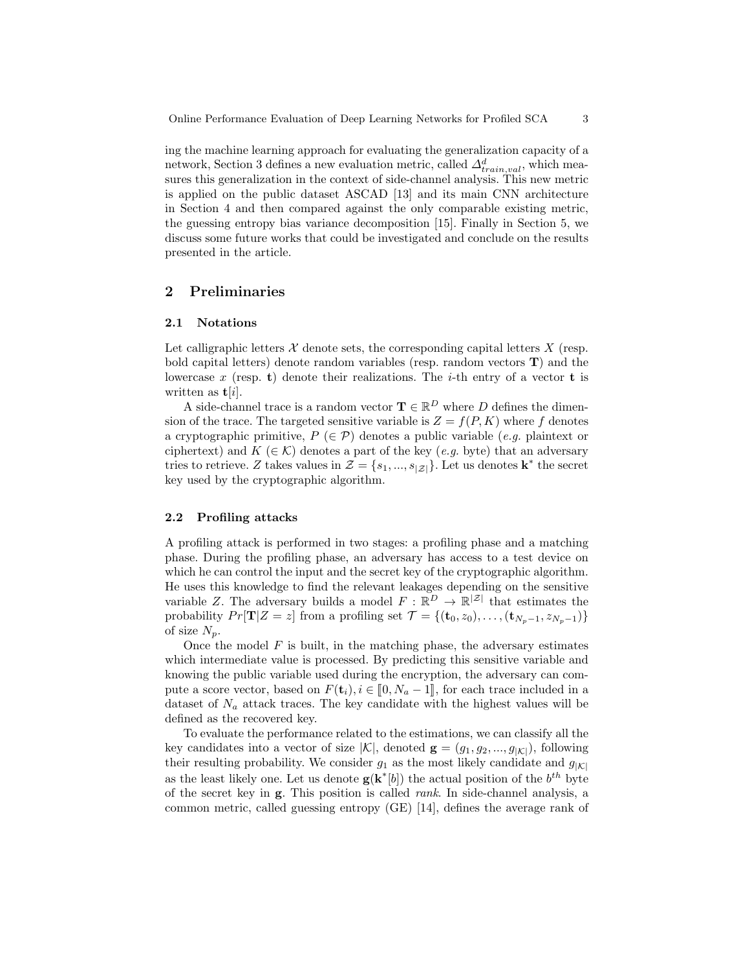ing the machine learning approach for evaluating the generalization capacity of a network, Section [3](#page-6-0) defines a new evaluation metric, called  $\Delta_{train, val}^d$ , which measures this generalization in the context of side-channel analysis. This new metric is applied on the public dataset ASCAD [\[13\]](#page-16-6) and its main CNN architecture in Section [4](#page-9-0) and then compared against the only comparable existing metric, the guessing entropy bias variance decomposition [\[15\]](#page-16-7). Finally in Section [5,](#page-14-0) we discuss some future works that could be investigated and conclude on the results presented in the article.

## <span id="page-2-0"></span>2 Preliminaries

### 2.1 Notations

Let calligraphic letters  $\mathcal X$  denote sets, the corresponding capital letters  $X$  (resp. bold capital letters) denote random variables (resp. random vectors T) and the lowercase x (resp. t) denote their realizations. The *i*-th entry of a vector **t** is written as  $t[i]$ .

A side-channel trace is a random vector  $\mathbf{T} \in \mathbb{R}^D$  where D defines the dimension of the trace. The targeted sensitive variable is  $Z = f(P, K)$  where f denotes a cryptographic primitive,  $P \in \mathcal{P}$ ) denotes a public variable (e.g. plaintext or ciphertext) and  $K \in \mathcal{K}$  denotes a part of the key (e.g. byte) that an adversary tries to retrieve. Z takes values in  $\mathcal{Z} = \{s_1, ..., s_{|\mathcal{Z}|\}}$ . Let us denotes  $\mathbf{k}^*$  the secret key used by the cryptographic algorithm.

### 2.2 Profiling attacks

A profiling attack is performed in two stages: a profiling phase and a matching phase. During the profiling phase, an adversary has access to a test device on which he can control the input and the secret key of the cryptographic algorithm. He uses this knowledge to find the relevant leakages depending on the sensitive variable Z. The adversary builds a model  $F: \mathbb{R}^D \to \mathbb{R}^{|\mathcal{Z}|}$  that estimates the probability  $Pr[\mathbf{T}|Z = z]$  from a profiling set  $\mathcal{T} = \{(\mathbf{t}_0, z_0), \dots, (\mathbf{t}_{N_p-1}, z_{N_p-1})\}$ of size  $N_p$ .

Once the model  $F$  is built, in the matching phase, the adversary estimates which intermediate value is processed. By predicting this sensitive variable and knowing the public variable used during the encryption, the adversary can compute a score vector, based on  $F(\mathbf{t}_i), i \in [0, N_a - 1]$ , for each trace included in a dataset of  $N_a$  attack traces. The key candidate with the highest values will be defined as the recovered key.

To evaluate the performance related to the estimations, we can classify all the key candidates into a vector of size  $|\mathcal{K}|$ , denoted  $\mathbf{g} = (g_1, g_2, ..., g_{|\mathcal{K}|})$ , following their resulting probability. We consider  $g_1$  as the most likely candidate and  $g_{|\mathcal{K}|}$ as the least likely one. Let us denote  $\mathbf{g}(\mathbf{k}^*|b|)$  the actual position of the  $b^{th}$  byte of the secret key in g. This position is called rank. In side-channel analysis, a common metric, called guessing entropy (GE) [\[14\]](#page-16-5), defines the average rank of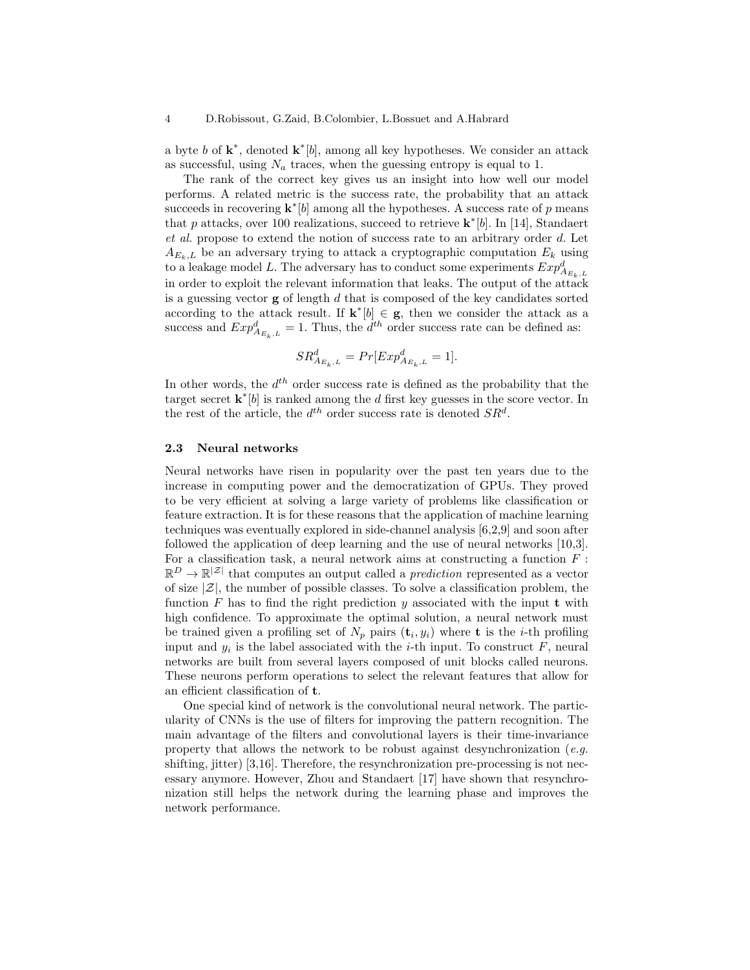a byte b of  $\mathbf{k}^*$ , denoted  $\mathbf{k}^*[b]$ , among all key hypotheses. We consider an attack as successful, using  $N_a$  traces, when the guessing entropy is equal to 1.

The rank of the correct key gives us an insight into how well our model performs. A related metric is the success rate, the probability that an attack succeeds in recovering  $\mathbf{k}^*$  [b] among all the hypotheses. A success rate of p means that p attacks, over 100 realizations, succeed to retrieve  $\mathbf{k}^*$ [b]. In [\[14\]](#page-16-5), Standaert et al. propose to extend the notion of success rate to an arbitrary order d. Let  $A_{E_k,L}$  be an adversary trying to attack a cryptographic computation  $E_k$  using to a leakage model L. The adversary has to conduct some experiments  $Exp_{A_{E_k,L}}^d$ in order to exploit the relevant information that leaks. The output of the attack is a guessing vector  $g$  of length d that is composed of the key candidates sorted according to the attack result. If  $\mathbf{k}^*$ [b]  $\in \mathbf{g}$ , then we consider the attack as a success and  $Exp_{A_{E_k,L}}^d = 1$ . Thus, the  $d^{th}$  order success rate can be defined as:

$$
SR_{A_{E_k,L}}^d = Pr[Exp_{A_{E_k,L}}^d = 1].
$$

In other words, the  $d^{th}$  order success rate is defined as the probability that the target secret  $\mathbf{k}^*$ [b] is ranked among the d first key guesses in the score vector. In the rest of the article, the  $d^{th}$  order success rate is denoted  $SR<sup>d</sup>$ .

### 2.3 Neural networks

Neural networks have risen in popularity over the past ten years due to the increase in computing power and the democratization of GPUs. They proved to be very efficient at solving a large variety of problems like classification or feature extraction. It is for these reasons that the application of machine learning techniques was eventually explored in side-channel analysis [\[6,](#page-15-4)[2,](#page-15-5)[9\]](#page-16-8) and soon after followed the application of deep learning and the use of neural networks [\[10,](#page-16-1)[3\]](#page-15-2). For a classification task, a neural network aims at constructing a function  $F$ :  $\mathbb{R}^D \to \mathbb{R}^{|\mathcal{Z}|}$  that computes an output called a *prediction* represented as a vector of size  $|\mathcal{Z}|$ , the number of possible classes. To solve a classification problem, the function F has to find the right prediction y associated with the input  $t$  with high confidence. To approximate the optimal solution, a neural network must be trained given a profiling set of  $N_p$  pairs  $(\mathbf{t}_i, y_i)$  where **t** is the *i*-th profiling input and  $y_i$  is the label associated with the *i*-th input. To construct  $F$ , neural networks are built from several layers composed of unit blocks called neurons. These neurons perform operations to select the relevant features that allow for an efficient classification of t.

One special kind of network is the convolutional neural network. The particularity of CNNs is the use of filters for improving the pattern recognition. The main advantage of the filters and convolutional layers is their time-invariance property that allows the network to be robust against desynchronization (e.g. shifting, jitter) [\[3,](#page-15-2)[16\]](#page-16-3). Therefore, the resynchronization pre-processing is not necessary anymore. However, Zhou and Standaert [\[17\]](#page-16-9) have shown that resynchronization still helps the network during the learning phase and improves the network performance.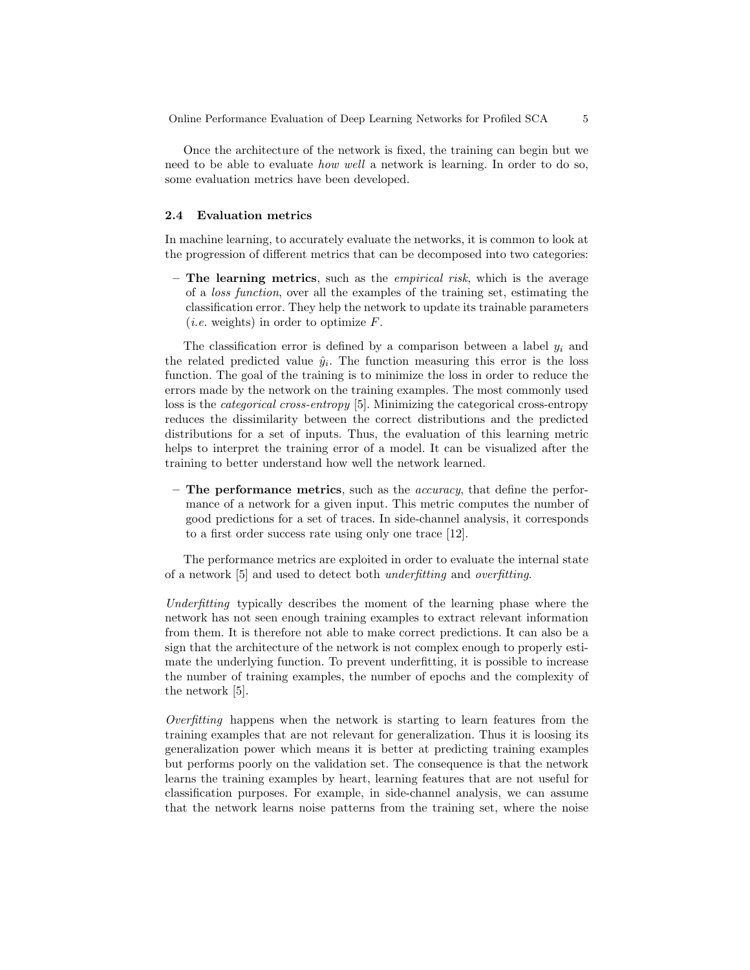Once the architecture of the network is fixed, the training can begin but we need to be able to evaluate how well a network is learning. In order to do so, some evaluation metrics have been developed.

### <span id="page-4-0"></span>2.4 Evaluation metrics

In machine learning, to accurately evaluate the networks, it is common to look at the progression of different metrics that can be decomposed into two categories:

– The learning metrics, such as the *empirical risk*, which is the average of a loss function, over all the examples of the training set, estimating the classification error. They help the network to update its trainable parameters (*i.e.* weights) in order to optimize  $F$ .

The classification error is defined by a comparison between a label  $y_i$  and the related predicted value  $\hat{y}_i$ . The function measuring this error is the loss function. The goal of the training is to minimize the loss in order to reduce the errors made by the network on the training examples. The most commonly used loss is the categorical cross-entropy [\[5\]](#page-15-3). Minimizing the categorical cross-entropy reduces the dissimilarity between the correct distributions and the predicted distributions for a set of inputs. Thus, the evaluation of this learning metric helps to interpret the training error of a model. It can be visualized after the training to better understand how well the network learned.

– The performance metrics, such as the *accuracy*, that define the performance of a network for a given input. This metric computes the number of good predictions for a set of traces. In side-channel analysis, it corresponds to a first order success rate using only one trace [\[12\]](#page-16-4).

The performance metrics are exploited in order to evaluate the internal state of a network [\[5\]](#page-15-3) and used to detect both underfitting and overfitting.

Underfitting typically describes the moment of the learning phase where the network has not seen enough training examples to extract relevant information from them. It is therefore not able to make correct predictions. It can also be a sign that the architecture of the network is not complex enough to properly estimate the underlying function. To prevent underfitting, it is possible to increase the number of training examples, the number of epochs and the complexity of the network [\[5\]](#page-15-3).

Overfitting happens when the network is starting to learn features from the training examples that are not relevant for generalization. Thus it is loosing its generalization power which means it is better at predicting training examples but performs poorly on the validation set. The consequence is that the network learns the training examples by heart, learning features that are not useful for classification purposes. For example, in side-channel analysis, we can assume that the network learns noise patterns from the training set, where the noise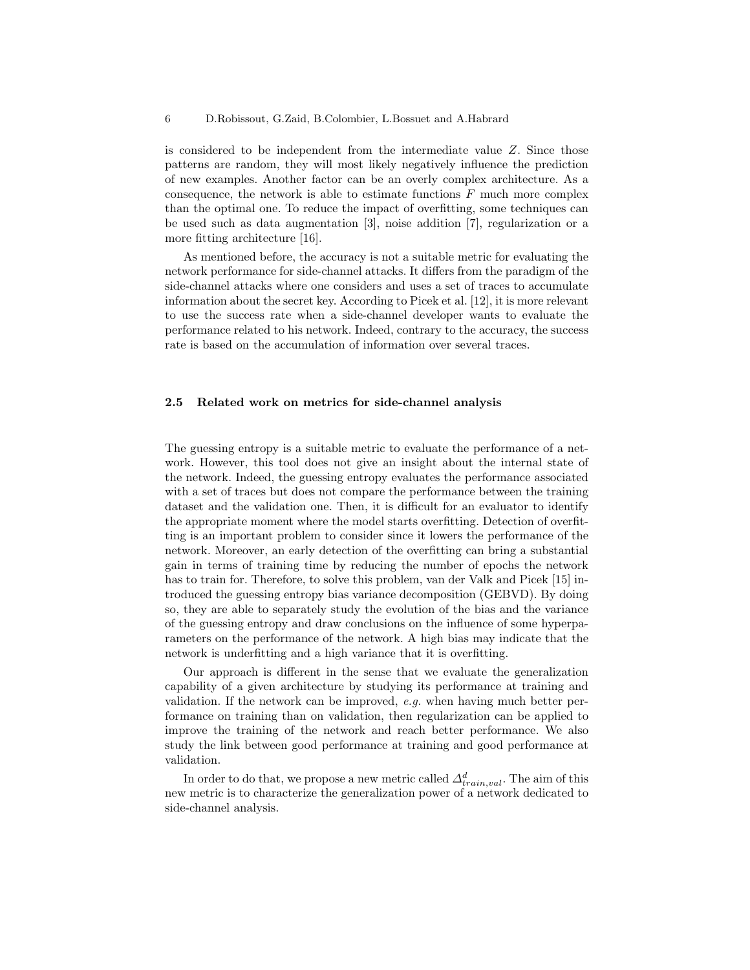is considered to be independent from the intermediate value Z. Since those patterns are random, they will most likely negatively influence the prediction of new examples. Another factor can be an overly complex architecture. As a consequence, the network is able to estimate functions  $F$  much more complex than the optimal one. To reduce the impact of overfitting, some techniques can be used such as data augmentation [\[3\]](#page-15-2), noise addition [\[7\]](#page-15-6), regularization or a more fitting architecture [\[16\]](#page-16-3).

As mentioned before, the accuracy is not a suitable metric for evaluating the network performance for side-channel attacks. It differs from the paradigm of the side-channel attacks where one considers and uses a set of traces to accumulate information about the secret key. According to Picek et al. [\[12\]](#page-16-4), it is more relevant to use the success rate when a side-channel developer wants to evaluate the performance related to his network. Indeed, contrary to the accuracy, the success rate is based on the accumulation of information over several traces.

### 2.5 Related work on metrics for side-channel analysis

The guessing entropy is a suitable metric to evaluate the performance of a network. However, this tool does not give an insight about the internal state of the network. Indeed, the guessing entropy evaluates the performance associated with a set of traces but does not compare the performance between the training dataset and the validation one. Then, it is difficult for an evaluator to identify the appropriate moment where the model starts overfitting. Detection of overfitting is an important problem to consider since it lowers the performance of the network. Moreover, an early detection of the overfitting can bring a substantial gain in terms of training time by reducing the number of epochs the network has to train for. Therefore, to solve this problem, van der Valk and Picek [\[15\]](#page-16-7) introduced the guessing entropy bias variance decomposition (GEBVD). By doing so, they are able to separately study the evolution of the bias and the variance of the guessing entropy and draw conclusions on the influence of some hyperparameters on the performance of the network. A high bias may indicate that the network is underfitting and a high variance that it is overfitting.

Our approach is different in the sense that we evaluate the generalization capability of a given architecture by studying its performance at training and validation. If the network can be improved, e.g. when having much better performance on training than on validation, then regularization can be applied to improve the training of the network and reach better performance. We also study the link between good performance at training and good performance at validation.

In order to do that, we propose a new metric called  $\Delta_{train,val}^d$ . The aim of this new metric is to characterize the generalization power of a network dedicated to side-channel analysis.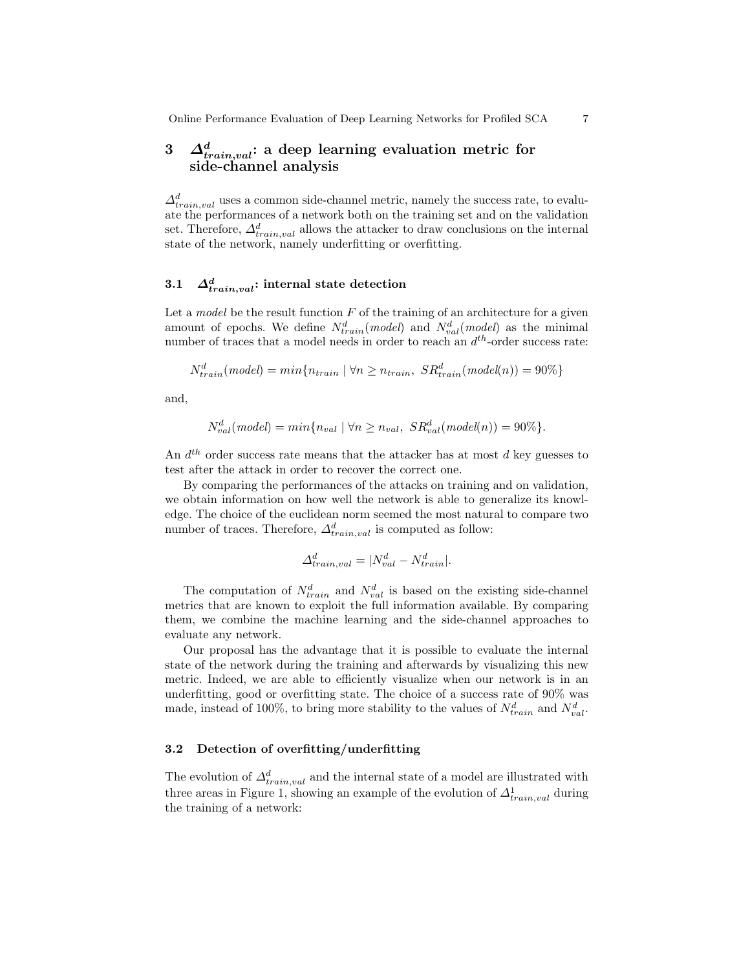# <span id="page-6-0"></span> $3 \quad \Delta_{train,val}^d:$  a deep learning evaluation metric for side-channel analysis

 $\Delta_{train,val}^d$  uses a common side-channel metric, namely the success rate, to evaluate the performances of a network both on the training set and on the validation set. Therefore,  $\Delta_{train,val}^d$  allows the attacker to draw conclusions on the internal state of the network, namely underfitting or overfitting.

# 3.1  $\Delta_{train,val}^d$ : internal state detection

Let a *model* be the result function  $F$  of the training of an architecture for a given amount of epochs. We define  $N_{train}^d (model)$  and  $N_{val}^d (model)$  as the minimal number of traces that a model needs in order to reach an  $d^{th}$ -order success rate:

 $N_{train}^d (model) = min\{n_{train} | \forall n \geq n_{train}, SR_{train}^d (model(n)) = 90\% \}$ 

and,

$$
N_{val}^d(model) = min\{n_{val} \mid \forall n \ge n_{val}, SR_{val}^d(model(n)) = 90\% \}.
$$

An  $d^{th}$  order success rate means that the attacker has at most d key guesses to test after the attack in order to recover the correct one.

By comparing the performances of the attacks on training and on validation, we obtain information on how well the network is able to generalize its knowledge. The choice of the euclidean norm seemed the most natural to compare two number of traces. Therefore,  $\Delta_{train,val}^d$  is computed as follow:

$$
\Delta_{train, val}^d = |N_{val}^d - N_{train}^d|.
$$

The computation of  $N_{train}^d$  and  $N_{val}^d$  is based on the existing side-channel metrics that are known to exploit the full information available. By comparing them, we combine the machine learning and the side-channel approaches to evaluate any network.

Our proposal has the advantage that it is possible to evaluate the internal state of the network during the training and afterwards by visualizing this new metric. Indeed, we are able to efficiently visualize when our network is in an underfitting, good or overfitting state. The choice of a success rate of 90% was made, instead of 100%, to bring more stability to the values of  $N_{train}^d$  and  $N_{val}^d$ .

### 3.2 Detection of overfitting/underfitting

The evolution of  $\Delta_{train,val}^d$  and the internal state of a model are illustrated with three areas in Figure [1,](#page-8-0) showing an example of the evolution of  $\Delta_{train, val}^1$  during the training of a network: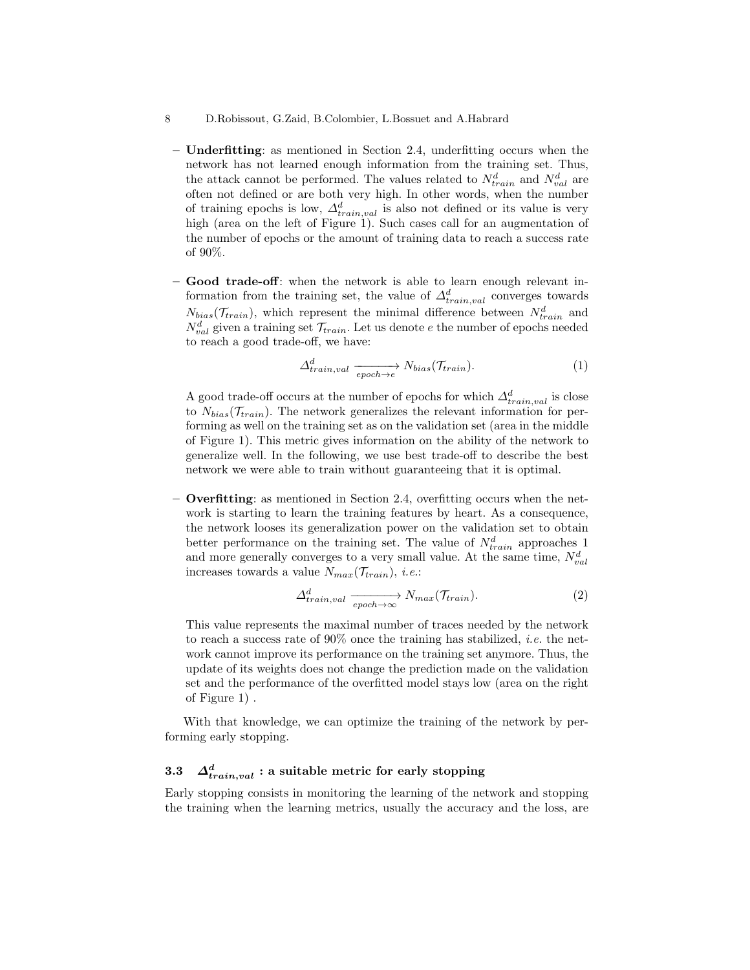### 8 D.Robissout, G.Zaid, B.Colombier, L.Bossuet and A.Habrard

- Underfitting: as mentioned in Section [2.4,](#page-4-0) underfitting occurs when the network has not learned enough information from the training set. Thus, the attack cannot be performed. The values related to  $N_{train}^d$  and  $N_{val}^d$  are often not defined or are both very high. In other words, when the number of training epochs is low,  $\Delta_{train,val}^d$  is also not defined or its value is very high (area on the left of Figure [1\)](#page-8-0). Such cases call for an augmentation of the number of epochs or the amount of training data to reach a success rate of 90%.
- Good trade-off: when the network is able to learn enough relevant information from the training set, the value of  $\Delta_{train, val}^d$  converges towards  $N_{bias}(\mathcal{T}_{train})$ , which represent the minimal difference between  $N_{train}^d$  and  $N_{val}^d$  given a training set  $\mathcal{T}_{train}$ . Let us denote e the number of epochs needed to reach a good trade-off, we have:

$$
\Delta_{train, val}^d \xrightarrow{_{epoch \to e}} N_{bias}(\mathcal{T}_{train}). \tag{1}
$$

A good trade-off occurs at the number of epochs for which  $\Delta_{train,val}^d$  is close to  $N_{bias}(\mathcal{T}_{train})$ . The network generalizes the relevant information for performing as well on the training set as on the validation set (area in the middle of Figure [1\)](#page-8-0). This metric gives information on the ability of the network to generalize well. In the following, we use best trade-off to describe the best network we were able to train without guaranteeing that it is optimal.

– Overfitting: as mentioned in Section [2.4,](#page-4-0) overfitting occurs when the network is starting to learn the training features by heart. As a consequence, the network looses its generalization power on the validation set to obtain better performance on the training set. The value of  $N_{train}^d$  approaches 1 and more generally converges to a very small value. At the same time,  $N_{val}^d$ increases towards a value  $N_{max}(\mathcal{T}_{train})$ , *i.e.*:

<span id="page-7-0"></span>
$$
\Delta_{train, val}^d \xrightarrow{_{epoch \to \infty}} N_{max}(\mathcal{T}_{train}). \tag{2}
$$

This value represents the maximal number of traces needed by the network to reach a success rate of  $90\%$  once the training has stabilized, *i.e.* the network cannot improve its performance on the training set anymore. Thus, the update of its weights does not change the prediction made on the validation set and the performance of the overfitted model stays low (area on the right of Figure [1\)](#page-8-0) .

With that knowledge, we can optimize the training of the network by performing early stopping.

# $3.3\quad \Delta_{train,val}^d:$  a suitable metric for early stopping

Early stopping consists in monitoring the learning of the network and stopping the training when the learning metrics, usually the accuracy and the loss, are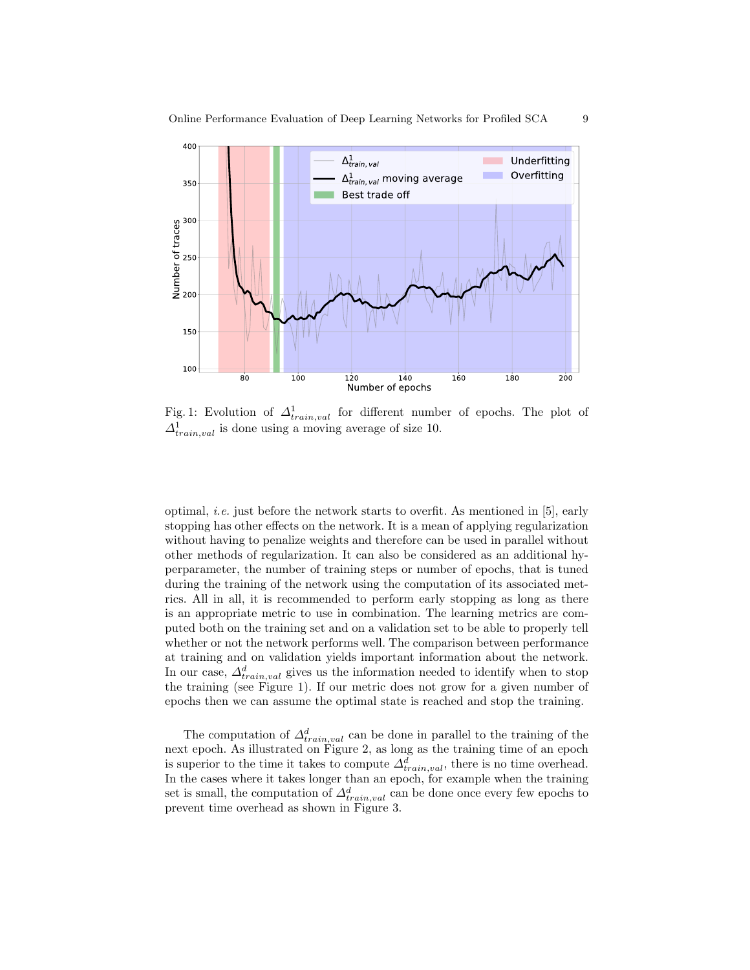<span id="page-8-0"></span>

Fig. 1: Evolution of  $\Delta_{train,val}^1$  for different number of epochs. The plot of  $\Delta_{train,val}^1$  is done using a moving average of size 10.

optimal, i.e. just before the network starts to overfit. As mentioned in [\[5\]](#page-15-3), early stopping has other effects on the network. It is a mean of applying regularization without having to penalize weights and therefore can be used in parallel without other methods of regularization. It can also be considered as an additional hyperparameter, the number of training steps or number of epochs, that is tuned during the training of the network using the computation of its associated metrics. All in all, it is recommended to perform early stopping as long as there is an appropriate metric to use in combination. The learning metrics are computed both on the training set and on a validation set to be able to properly tell whether or not the network performs well. The comparison between performance at training and on validation yields important information about the network. In our case,  $\Delta_{train, val}^d$  gives us the information needed to identify when to stop the training (see Figure [1\)](#page-8-0). If our metric does not grow for a given number of epochs then we can assume the optimal state is reached and stop the training.

The computation of  $\Delta_{train,val}^d$  can be done in parallel to the training of the next epoch. As illustrated on Figure [2,](#page-9-1) as long as the training time of an epoch is superior to the time it takes to compute  $\Delta_{train,val}^d$ , there is no time overhead. In the cases where it takes longer than an epoch, for example when the training set is small, the computation of  $\Delta_{train,val}^d$  can be done once every few epochs to prevent time overhead as shown in Figure [3.](#page-9-2)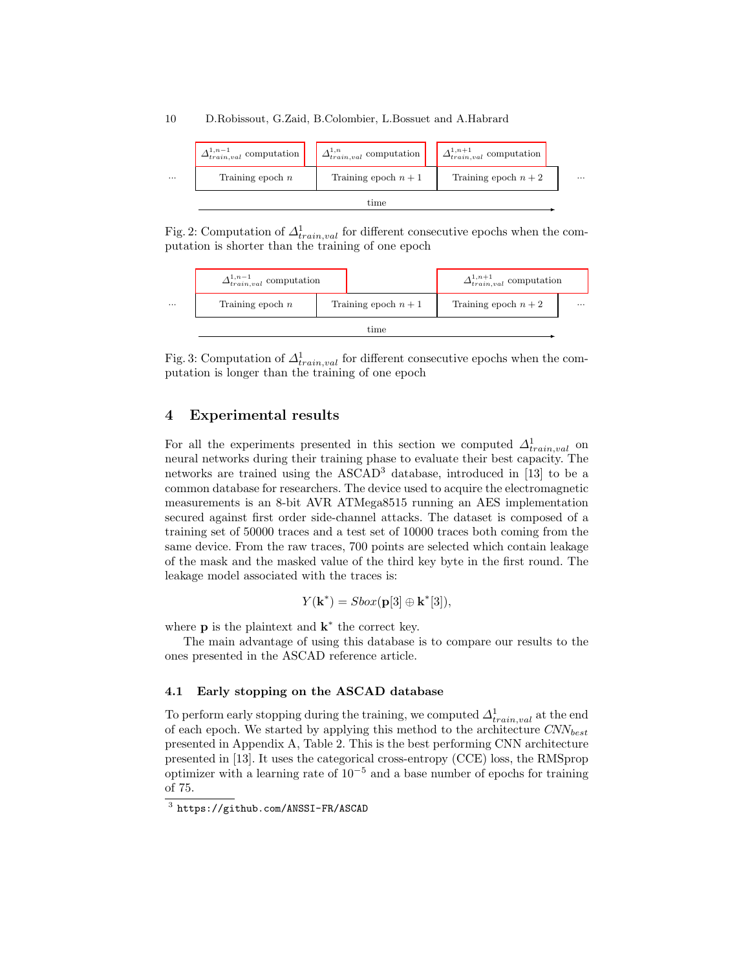### 10 D.Robissout, G.Zaid, B.Colombier, L.Bossuet and A.Habrard

<span id="page-9-1"></span>

|          | $\Delta^{1,n-1}_{train,val}$ computation | $\Delta^{1,n}_{train,val}$ computation | $\Delta^{1,n+1}_{train,val}$ computation |          |
|----------|------------------------------------------|----------------------------------------|------------------------------------------|----------|
| $\cdots$ | Training epoch $n$                       | Training epoch $n+1$                   | Training epoch $n+2$                     | $\cdots$ |
|          |                                          | time                                   |                                          |          |

Fig. 2: Computation of  $\Delta_{train,val}^1$  for different consecutive epochs when the computation is shorter than the training of one epoch

<span id="page-9-2"></span>

Fig. 3: Computation of  $\Delta_{train,val}^1$  for different consecutive epochs when the computation is longer than the training of one epoch

## <span id="page-9-0"></span>4 Experimental results

For all the experiments presented in this section we computed  $\Delta^1_{train, val}$  on neural networks during their training phase to evaluate their best capacity. The networks are trained using the ASCAD[3](#page-9-3) database, introduced in [\[13\]](#page-16-6) to be a common database for researchers. The device used to acquire the electromagnetic measurements is an 8-bit AVR ATMega8515 running an AES implementation secured against first order side-channel attacks. The dataset is composed of a training set of 50000 traces and a test set of 10000 traces both coming from the same device. From the raw traces, 700 points are selected which contain leakage of the mask and the masked value of the third key byte in the first round. The leakage model associated with the traces is:

$$
Y(\mathbf{k}^*) = \text{Sbox}(\mathbf{p}[3] \oplus \mathbf{k}^*[3]),
$$

where  $\bf{p}$  is the plaintext and  $\bf{k}^*$  the correct key.

The main advantage of using this database is to compare our results to the ones presented in the ASCAD reference article.

#### 4.1 Early stopping on the ASCAD database

To perform early stopping during the training, we computed  $\Delta_{train,val}^1$  at the end of each epoch. We started by applying this method to the architecture  $CNN_{best}$ presented in Appendix [A,](#page-17-0) Table [2.](#page-17-1) This is the best performing CNN architecture presented in [\[13\]](#page-16-6). It uses the categorical cross-entropy (CCE) loss, the RMSprop optimizer with a learning rate of  $10^{-5}$  and a base number of epochs for training of 75.

<span id="page-9-3"></span><sup>3</sup> <https://github.com/ANSSI-FR/ASCAD>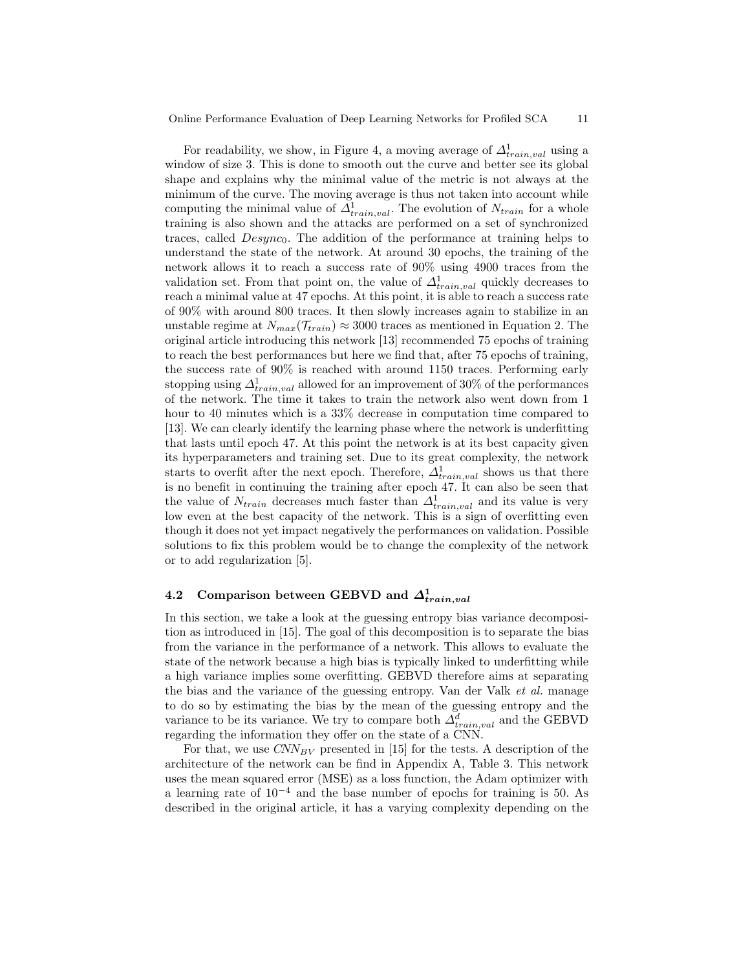For readability, we show, in Figure [4,](#page-11-0) a moving average of  $\Delta^1_{train, val}$  using a window of size 3. This is done to smooth out the curve and better see its global shape and explains why the minimal value of the metric is not always at the minimum of the curve. The moving average is thus not taken into account while computing the minimal value of  $\Delta_{train,val}^1$ . The evolution of  $N_{train}$  for a whole training is also shown and the attacks are performed on a set of synchronized traces, called  $Desync_0$ . The addition of the performance at training helps to understand the state of the network. At around 30 epochs, the training of the network allows it to reach a success rate of 90% using 4900 traces from the validation set. From that point on, the value of  $\Delta_{train,val}^1$  quickly decreases to reach a minimal value at 47 epochs. At this point, it is able to reach a success rate of 90% with around 800 traces. It then slowly increases again to stabilize in an unstable regime at  $N_{max}(\mathcal{T}_{train}) \approx 3000$  traces as mentioned in Equation [2.](#page-7-0) The original article introducing this network [\[13\]](#page-16-6) recommended 75 epochs of training to reach the best performances but here we find that, after 75 epochs of training, the success rate of 90% is reached with around 1150 traces. Performing early stopping using  $\Delta_{train,val}^1$  allowed for an improvement of 30% of the performances of the network. The time it takes to train the network also went down from 1 hour to 40 minutes which is a 33% decrease in computation time compared to [\[13\]](#page-16-6). We can clearly identify the learning phase where the network is underfitting that lasts until epoch 47. At this point the network is at its best capacity given its hyperparameters and training set. Due to its great complexity, the network starts to overfit after the next epoch. Therefore,  $\Delta_{train,val}^1$  shows us that there is no benefit in continuing the training after epoch 47. It can also be seen that the value of  $N_{train}$  decreases much faster than  $\Delta_{train,val}^1$  and its value is very low even at the best capacity of the network. This is a sign of overfitting even though it does not yet impact negatively the performances on validation. Possible solutions to fix this problem would be to change the complexity of the network or to add regularization [\[5\]](#page-15-3).

# 4.2 Comparison between GEBVD and  $\Delta_{train,val}^1$

In this section, we take a look at the guessing entropy bias variance decomposition as introduced in [\[15\]](#page-16-7). The goal of this decomposition is to separate the bias from the variance in the performance of a network. This allows to evaluate the state of the network because a high bias is typically linked to underfitting while a high variance implies some overfitting. GEBVD therefore aims at separating the bias and the variance of the guessing entropy. Van der Valk et al. manage to do so by estimating the bias by the mean of the guessing entropy and the variance to be its variance. We try to compare both  $\Delta_{train,val}^d$  and the GEBVD regarding the information they offer on the state of a CNN.

For that, we use  $CNN_{BV}$  presented in [\[15\]](#page-16-7) for the tests. A description of the architecture of the network can be find in Appendix [A,](#page-17-0) Table [3.](#page-18-0) This network uses the mean squared error (MSE) as a loss function, the Adam optimizer with a learning rate of  $10^{-4}$  and the base number of epochs for training is 50. As described in the original article, it has a varying complexity depending on the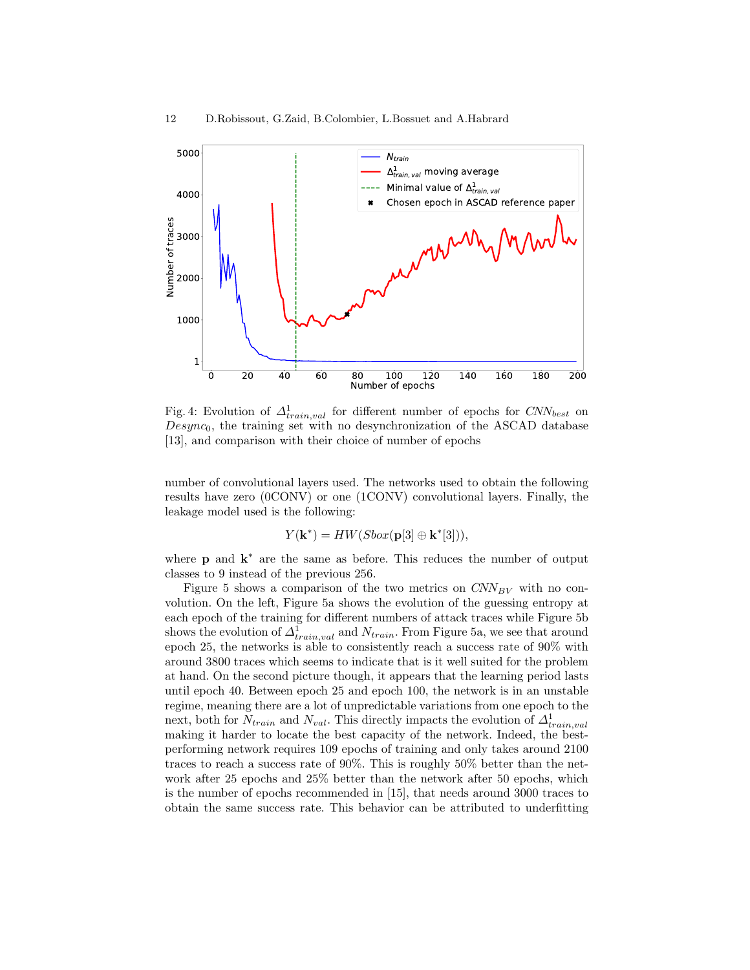<span id="page-11-0"></span>

Fig. 4: Evolution of  $\Delta^1_{train, val}$  for different number of epochs for  $CNN_{best}$  on  $Desync<sub>0</sub>$ , the training set with no desynchronization of the ASCAD database [\[13\]](#page-16-6), and comparison with their choice of number of epochs

number of convolutional layers used. The networks used to obtain the following results have zero (0CONV) or one (1CONV) convolutional layers. Finally, the leakage model used is the following:

$$
Y(\mathbf{k}^*) = HW(Sbox(\mathbf{p}[3] \oplus \mathbf{k}^*[3])),
$$

where  $\bf{p}$  and  $\bf{k}^*$  are the same as before. This reduces the number of output classes to 9 instead of the previous 256.

Figure [5](#page-12-0) shows a comparison of the two metrics on  $CNN_{BV}$  with no convolution. On the left, Figure [5a](#page-12-0) shows the evolution of the guessing entropy at each epoch of the training for different numbers of attack traces while Figure [5b](#page-12-0) shows the evolution of  $\Delta_{train,val}^1$  and  $N_{train}$ . From Figure [5a,](#page-12-0) we see that around epoch 25, the networks is able to consistently reach a success rate of 90% with around 3800 traces which seems to indicate that is it well suited for the problem at hand. On the second picture though, it appears that the learning period lasts until epoch 40. Between epoch 25 and epoch 100, the network is in an unstable regime, meaning there are a lot of unpredictable variations from one epoch to the next, both for  $N_{train}$  and  $N_{val}$ . This directly impacts the evolution of  $\Delta_{train,val}^1$ making it harder to locate the best capacity of the network. Indeed, the bestperforming network requires 109 epochs of training and only takes around 2100 traces to reach a success rate of 90%. This is roughly 50% better than the network after 25 epochs and 25% better than the network after 50 epochs, which is the number of epochs recommended in [\[15\]](#page-16-7), that needs around 3000 traces to obtain the same success rate. This behavior can be attributed to underfitting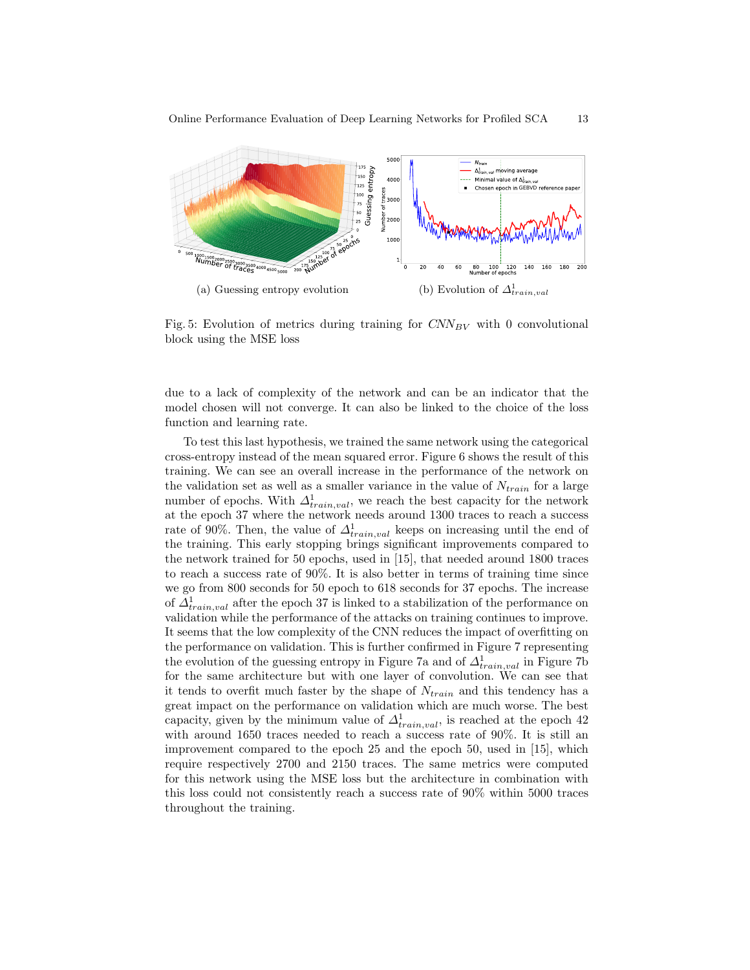<span id="page-12-0"></span>

Fig. 5: Evolution of metrics during training for  $CNN_{BV}$  with 0 convolutional block using the MSE loss

due to a lack of complexity of the network and can be an indicator that the model chosen will not converge. It can also be linked to the choice of the loss function and learning rate.

To test this last hypothesis, we trained the same network using the categorical cross-entropy instead of the mean squared error. Figure [6](#page-13-0) shows the result of this training. We can see an overall increase in the performance of the network on the validation set as well as a smaller variance in the value of  $N_{train}$  for a large number of epochs. With  $\Delta_{train,val}^1$ , we reach the best capacity for the network at the epoch 37 where the network needs around 1300 traces to reach a success rate of 90%. Then, the value of  $\Delta^1_{train, val}$  keeps on increasing until the end of the training. This early stopping brings significant improvements compared to the network trained for 50 epochs, used in [\[15\]](#page-16-7), that needed around 1800 traces to reach a success rate of 90%. It is also better in terms of training time since we go from 800 seconds for 50 epoch to 618 seconds for 37 epochs. The increase of  $\Delta_{train,val}^1$  after the epoch 37 is linked to a stabilization of the performance on validation while the performance of the attacks on training continues to improve. It seems that the low complexity of the CNN reduces the impact of overfitting on the performance on validation. This is further confirmed in Figure [7](#page-13-1) representing the evolution of the guessing entropy in Figure [7a](#page-13-1) and of  $\Delta_{train,val}^1$  in Figure [7b](#page-13-1) for the same architecture but with one layer of convolution. We can see that it tends to overfit much faster by the shape of  $N_{train}$  and this tendency has a great impact on the performance on validation which are much worse. The best capacity, given by the minimum value of  $\Delta_{train,val}^1$ , is reached at the epoch 42 with around 1650 traces needed to reach a success rate of 90%. It is still an improvement compared to the epoch 25 and the epoch 50, used in [\[15\]](#page-16-7), which require respectively 2700 and 2150 traces. The same metrics were computed for this network using the MSE loss but the architecture in combination with this loss could not consistently reach a success rate of 90% within 5000 traces throughout the training.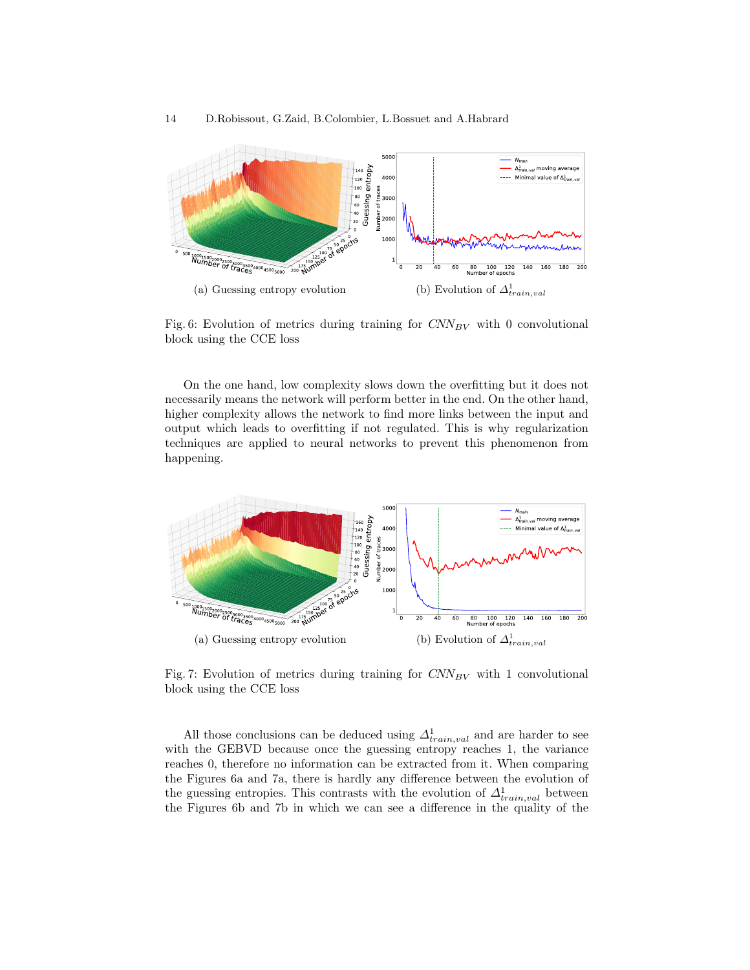<span id="page-13-0"></span>

Fig. 6: Evolution of metrics during training for  $CNN_{BV}$  with 0 convolutional block using the CCE loss

On the one hand, low complexity slows down the overfitting but it does not necessarily means the network will perform better in the end. On the other hand, higher complexity allows the network to find more links between the input and output which leads to overfitting if not regulated. This is why regularization techniques are applied to neural networks to prevent this phenomenon from happening.

<span id="page-13-1"></span>

Fig. 7: Evolution of metrics during training for  $CNN_{BV}$  with 1 convolutional block using the CCE loss

All those conclusions can be deduced using  $\Delta_{train,val}^1$  and are harder to see with the GEBVD because once the guessing entropy reaches 1, the variance reaches 0, therefore no information can be extracted from it. When comparing the Figures [6a](#page-13-0) and [7a,](#page-13-1) there is hardly any difference between the evolution of the guessing entropies. This contrasts with the evolution of  $\Delta_{train,val}^1$  between the Figures [6b](#page-13-0) and [7b](#page-13-1) in which we can see a difference in the quality of the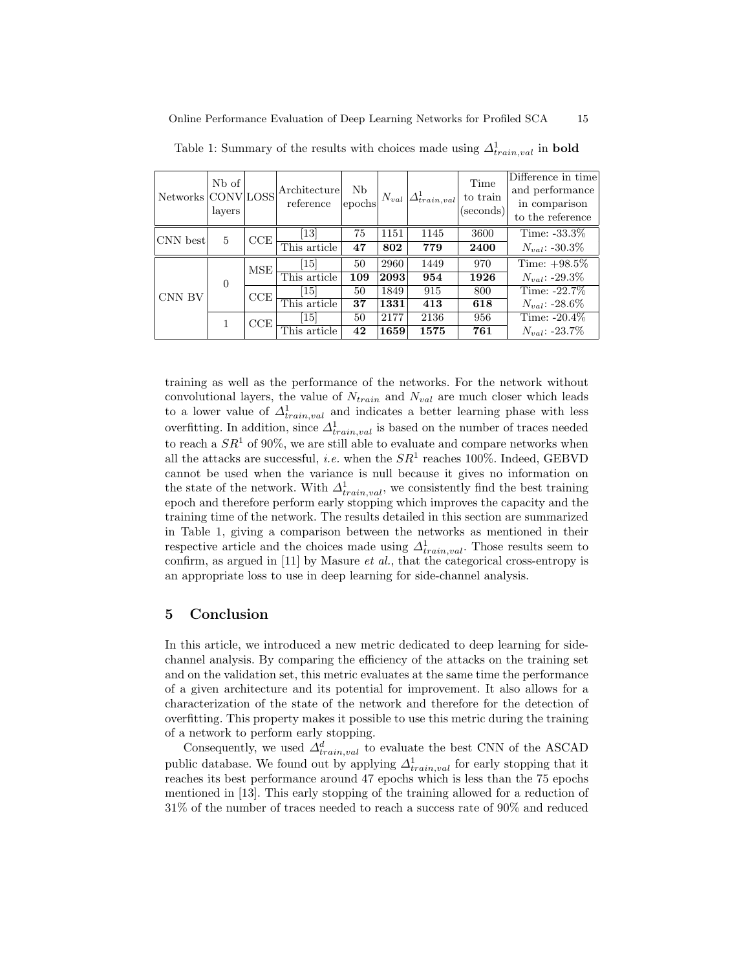| Networks CONVILOSS | N <sub>b</sub> of<br>layers |            | Architecture<br>reference     | Nb<br>epochs | $\left(N_{val}\right)$ | $\Delta^1_{train,val}$ | Time<br>to train<br>(seconds) | Difference in timel<br>and performance<br>in comparison<br>to the reference |
|--------------------|-----------------------------|------------|-------------------------------|--------------|------------------------|------------------------|-------------------------------|-----------------------------------------------------------------------------|
| CNN best           | 5                           | CCE        | $\left\lceil 13 \right\rceil$ | 75           | 1151                   | 1145                   | 3600                          | Time: $-33.3\%$                                                             |
|                    |                             |            | This article                  | 47           | 802                    | 779                    | 2400                          | $N_{val}$ : -30.3%                                                          |
|                    | $\overline{0}$              | <b>MSE</b> | [15]                          | 50           | 2960                   | 1449                   | 970                           | Time: $+98.5\%$                                                             |
|                    |                             |            | This article                  | 109          | 2093                   | 954                    | 1926                          | $N_{val}$ : -29.3%                                                          |
| CNN BV             |                             | CCE        | [15]                          | 50           | 1849                   | 915                    | 800                           | Time: $-22.7\%$                                                             |
|                    |                             |            | This article                  | 37           | 1331                   | 413                    | 618                           | $N_{val}$ : -28.6\%                                                         |
|                    |                             | CCE        | $\left[15\right]$             | 50           | 2177                   | 2136                   | 956                           | Time: $-20.4\%$                                                             |
|                    |                             |            | This article                  | 42           | 1659                   | 1575                   | 761                           | $N_{val}$ : -23.7%                                                          |

<span id="page-14-1"></span>Table 1: Summary of the results with choices made using  $\Delta_{train, val}^1$  in **bold** 

training as well as the performance of the networks. For the network without convolutional layers, the value of  $N_{train}$  and  $N_{val}$  are much closer which leads to a lower value of  $\Delta_{train, val}^1$  and indicates a better learning phase with less overfitting. In addition, since  $\Delta_{train,val}^1$  is based on the number of traces needed to reach a  $SR<sup>1</sup>$  of 90%, we are still able to evaluate and compare networks when all the attacks are successful, *i.e.* when the  $SR<sup>1</sup>$  reaches 100%. Indeed, GEBVD cannot be used when the variance is null because it gives no information on the state of the network. With  $\Delta_{train,val}^1$ , we consistently find the best training epoch and therefore perform early stopping which improves the capacity and the training time of the network. The results detailed in this section are summarized in Table [1,](#page-14-1) giving a comparison between the networks as mentioned in their respective article and the choices made using  $\Delta_{train,val}^1$ . Those results seem to confirm, as argued in [\[11\]](#page-16-2) by Masure *et al.*, that the categorical cross-entropy is an appropriate loss to use in deep learning for side-channel analysis.

## <span id="page-14-0"></span>5 Conclusion

In this article, we introduced a new metric dedicated to deep learning for sidechannel analysis. By comparing the efficiency of the attacks on the training set and on the validation set, this metric evaluates at the same time the performance of a given architecture and its potential for improvement. It also allows for a characterization of the state of the network and therefore for the detection of overfitting. This property makes it possible to use this metric during the training of a network to perform early stopping.

Consequently, we used  $\Delta_{train,val}^d$  to evaluate the best CNN of the ASCAD public database. We found out by applying  $\Delta_{train,val}^1$  for early stopping that it reaches its best performance around 47 epochs which is less than the 75 epochs mentioned in [\[13\]](#page-16-6). This early stopping of the training allowed for a reduction of 31% of the number of traces needed to reach a success rate of 90% and reduced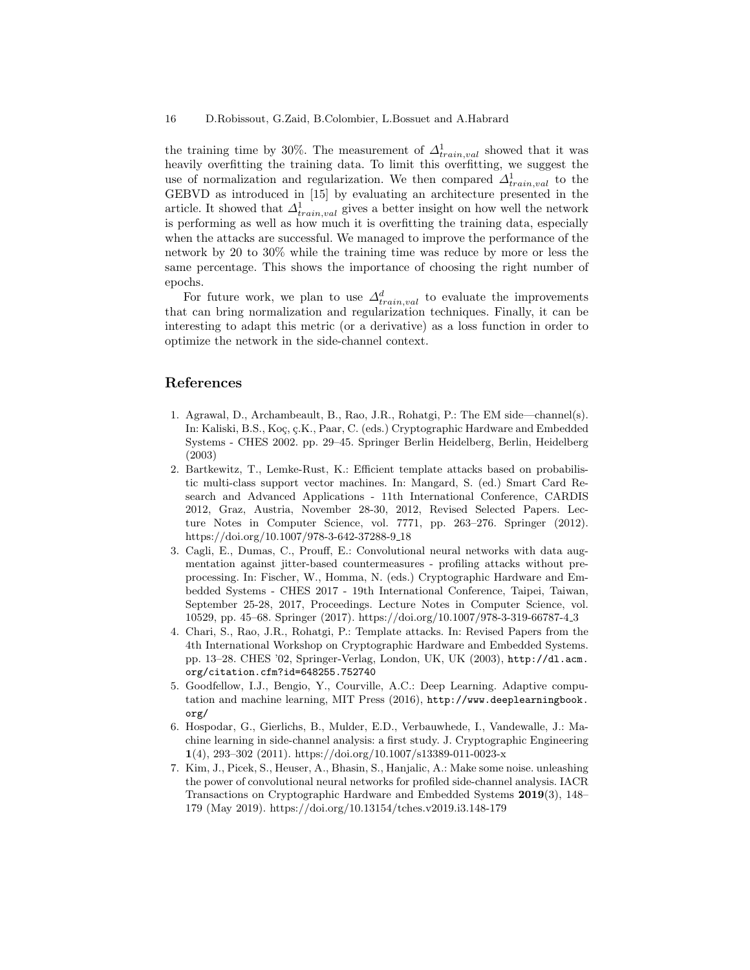the training time by 30%. The measurement of  $\Delta_{train, val}^1$  showed that it was heavily overfitting the training data. To limit this overfitting, we suggest the use of normalization and regularization. We then compared  $\Delta_{train,val}^1$  to the GEBVD as introduced in [\[15\]](#page-16-7) by evaluating an architecture presented in the article. It showed that  $\Delta_{train,val}^1$  gives a better insight on how well the network is performing as well as how much it is overfitting the training data, especially when the attacks are successful. We managed to improve the performance of the network by 20 to 30% while the training time was reduce by more or less the same percentage. This shows the importance of choosing the right number of epochs.

For future work, we plan to use  $\Delta_{train,val}^d$  to evaluate the improvements that can bring normalization and regularization techniques. Finally, it can be interesting to adapt this metric (or a derivative) as a loss function in order to optimize the network in the side-channel context.

# References

- <span id="page-15-0"></span>1. Agrawal, D., Archambeault, B., Rao, J.R., Rohatgi, P.: The EM side—channel(s). In: Kaliski, B.S., Koç, ç.K., Paar, C. (eds.) Cryptographic Hardware and Embedded Systems - CHES 2002. pp. 29–45. Springer Berlin Heidelberg, Berlin, Heidelberg (2003)
- <span id="page-15-5"></span>2. Bartkewitz, T., Lemke-Rust, K.: Efficient template attacks based on probabilistic multi-class support vector machines. In: Mangard, S. (ed.) Smart Card Research and Advanced Applications - 11th International Conference, CARDIS 2012, Graz, Austria, November 28-30, 2012, Revised Selected Papers. Lecture Notes in Computer Science, vol. 7771, pp. 263–276. Springer (2012). [https://doi.org/10.1007/978-3-642-37288-9](https://doi.org/10.1007/978-3-642-37288-9_18) 18
- <span id="page-15-2"></span>3. Cagli, E., Dumas, C., Prouff, E.: Convolutional neural networks with data augmentation against jitter-based countermeasures - profiling attacks without preprocessing. In: Fischer, W., Homma, N. (eds.) Cryptographic Hardware and Embedded Systems - CHES 2017 - 19th International Conference, Taipei, Taiwan, September 25-28, 2017, Proceedings. Lecture Notes in Computer Science, vol. 10529, pp. 45–68. Springer (2017). [https://doi.org/10.1007/978-3-319-66787-4](https://doi.org/10.1007/978-3-319-66787-4_3) 3
- <span id="page-15-1"></span>4. Chari, S., Rao, J.R., Rohatgi, P.: Template attacks. In: Revised Papers from the 4th International Workshop on Cryptographic Hardware and Embedded Systems. pp. 13–28. CHES '02, Springer-Verlag, London, UK, UK (2003), [http://dl.acm.](http://dl.acm.org/citation.cfm?id=648255.752740) [org/citation.cfm?id=648255.752740](http://dl.acm.org/citation.cfm?id=648255.752740)
- <span id="page-15-3"></span>5. Goodfellow, I.J., Bengio, Y., Courville, A.C.: Deep Learning. Adaptive computation and machine learning, MIT Press (2016), [http://www.deeplearningbook.](http://www.deeplearningbook.org/) [org/](http://www.deeplearningbook.org/)
- <span id="page-15-4"></span>6. Hospodar, G., Gierlichs, B., Mulder, E.D., Verbauwhede, I., Vandewalle, J.: Machine learning in side-channel analysis: a first study. J. Cryptographic Engineering 1(4), 293–302 (2011).<https://doi.org/10.1007/s13389-011-0023-x>
- <span id="page-15-6"></span>7. Kim, J., Picek, S., Heuser, A., Bhasin, S., Hanjalic, A.: Make some noise. unleashing the power of convolutional neural networks for profiled side-channel analysis. IACR Transactions on Cryptographic Hardware and Embedded Systems 2019(3), 148– 179 (May 2019).<https://doi.org/10.13154/tches.v2019.i3.148-179>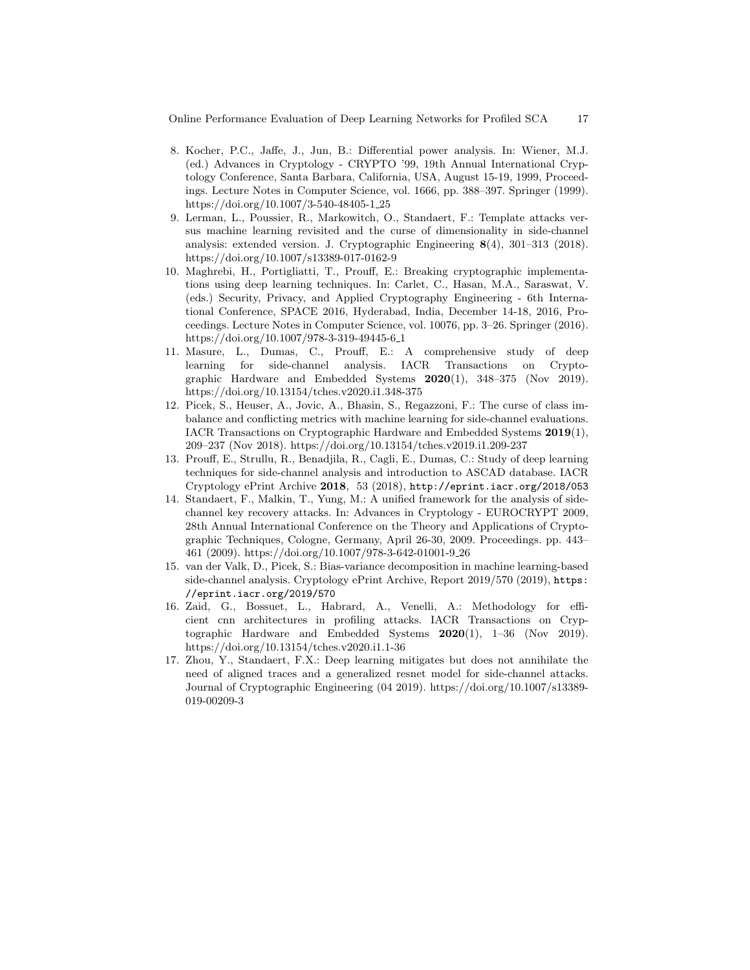Online Performance Evaluation of Deep Learning Networks for Profiled SCA 17

- <span id="page-16-0"></span>8. Kocher, P.C., Jaffe, J., Jun, B.: Differential power analysis. In: Wiener, M.J. (ed.) Advances in Cryptology - CRYPTO '99, 19th Annual International Cryptology Conference, Santa Barbara, California, USA, August 15-19, 1999, Proceedings. Lecture Notes in Computer Science, vol. 1666, pp. 388–397. Springer (1999). [https://doi.org/10.1007/3-540-48405-1](https://doi.org/10.1007/3-540-48405-1_25) 25
- <span id="page-16-8"></span>9. Lerman, L., Poussier, R., Markowitch, O., Standaert, F.: Template attacks versus machine learning revisited and the curse of dimensionality in side-channel analysis: extended version. J. Cryptographic Engineering 8(4), 301–313 (2018). <https://doi.org/10.1007/s13389-017-0162-9>
- <span id="page-16-1"></span>10. Maghrebi, H., Portigliatti, T., Prouff, E.: Breaking cryptographic implementations using deep learning techniques. In: Carlet, C., Hasan, M.A., Saraswat, V. (eds.) Security, Privacy, and Applied Cryptography Engineering - 6th International Conference, SPACE 2016, Hyderabad, India, December 14-18, 2016, Proceedings. Lecture Notes in Computer Science, vol. 10076, pp. 3–26. Springer (2016). [https://doi.org/10.1007/978-3-319-49445-6](https://doi.org/10.1007/978-3-319-49445-6_1) 1
- <span id="page-16-2"></span>11. Masure, L., Dumas, C., Prouff, E.: A comprehensive study of deep learning for side-channel analysis. IACR Transactions on Cryptographic Hardware and Embedded Systems 2020(1), 348–375 (Nov 2019). <https://doi.org/10.13154/tches.v2020.i1.348-375>
- <span id="page-16-4"></span>12. Picek, S., Heuser, A., Jovic, A., Bhasin, S., Regazzoni, F.: The curse of class imbalance and conflicting metrics with machine learning for side-channel evaluations. IACR Transactions on Cryptographic Hardware and Embedded Systems 2019(1), 209–237 (Nov 2018).<https://doi.org/10.13154/tches.v2019.i1.209-237>
- <span id="page-16-6"></span>13. Prouff, E., Strullu, R., Benadjila, R., Cagli, E., Dumas, C.: Study of deep learning techniques for side-channel analysis and introduction to ASCAD database. IACR Cryptology ePrint Archive 2018, 53 (2018), <http://eprint.iacr.org/2018/053>
- <span id="page-16-5"></span>14. Standaert, F., Malkin, T., Yung, M.: A unified framework for the analysis of sidechannel key recovery attacks. In: Advances in Cryptology - EUROCRYPT 2009, 28th Annual International Conference on the Theory and Applications of Cryptographic Techniques, Cologne, Germany, April 26-30, 2009. Proceedings. pp. 443– 461 (2009). [https://doi.org/10.1007/978-3-642-01001-9](https://doi.org/10.1007/978-3-642-01001-9_26) 26
- <span id="page-16-7"></span>15. van der Valk, D., Picek, S.: Bias-variance decomposition in machine learning-based side-channel analysis. Cryptology ePrint Archive, Report 2019/570 (2019), [https:](https://eprint.iacr.org/2019/570) [//eprint.iacr.org/2019/570](https://eprint.iacr.org/2019/570)
- <span id="page-16-3"></span>16. Zaid, G., Bossuet, L., Habrard, A., Venelli, A.: Methodology for efficient cnn architectures in profiling attacks. IACR Transactions on Cryptographic Hardware and Embedded Systems  $2020(1)$ ,  $1-36$  (Nov 2019). <https://doi.org/10.13154/tches.v2020.i1.1-36>
- <span id="page-16-9"></span>17. Zhou, Y., Standaert, F.X.: Deep learning mitigates but does not annihilate the need of aligned traces and a generalized resnet model for side-channel attacks. Journal of Cryptographic Engineering (04 2019). [https://doi.org/10.1007/s13389-](https://doi.org/10.1007/s13389-019-00209-3) [019-00209-3](https://doi.org/10.1007/s13389-019-00209-3)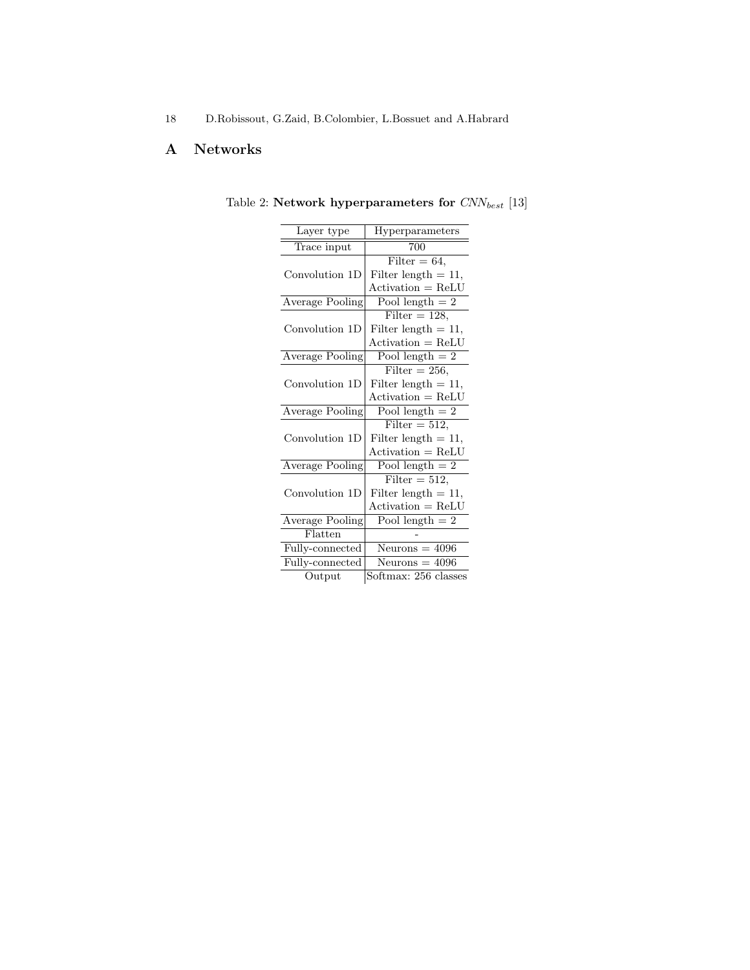# <span id="page-17-1"></span><span id="page-17-0"></span>A Networks

| Layer type      | Hyperparameters                   |
|-----------------|-----------------------------------|
| Trace input     | 700                               |
|                 | Filter = $64$ ,                   |
| Convolution 1D  | Filter length $= 11$ ,            |
|                 | $\text{Activation} = \text{ReLU}$ |
| Average Pooling | Pool length $= 2$                 |
|                 | $Filter = 128,$                   |
| Convolution 1D  | Filter length $= 11$ ,            |
|                 | $\text{Activation} = \text{ReLU}$ |
| Average Pooling | Pool length $= 2$                 |
|                 | Filter $= 256$ ,                  |
| Convolution 1D  | Filter length $= 11$ ,            |
|                 | $\text{Activation} = \text{ReLU}$ |
| Average Pooling | Pool length $= 2$                 |
|                 | Filter = $512$ ,                  |
| Convolution 1D  | Filter length $= 11$ ,            |
|                 | $\text{Activation} = \text{ReLU}$ |
| Average Pooling | Pool length $= 2$                 |
|                 | Filter = $5\overline{12}$ ,       |
| Convolution 1D  | Filter length $= 11$ ,            |
|                 | $\text{Activation} = \text{ReLU}$ |
| Average Pooling | Pool length $= 2$                 |
| Flatten         |                                   |
| Fully-connected | Neurons $= 4096$                  |
| Fully-connected | Neurons $= 4096$                  |
| Output          | Softmax: 256 classes              |

Table 2: Network hyperparameters for  $\mathit{CNN}_{best}$  [\[13\]](#page-16-6)